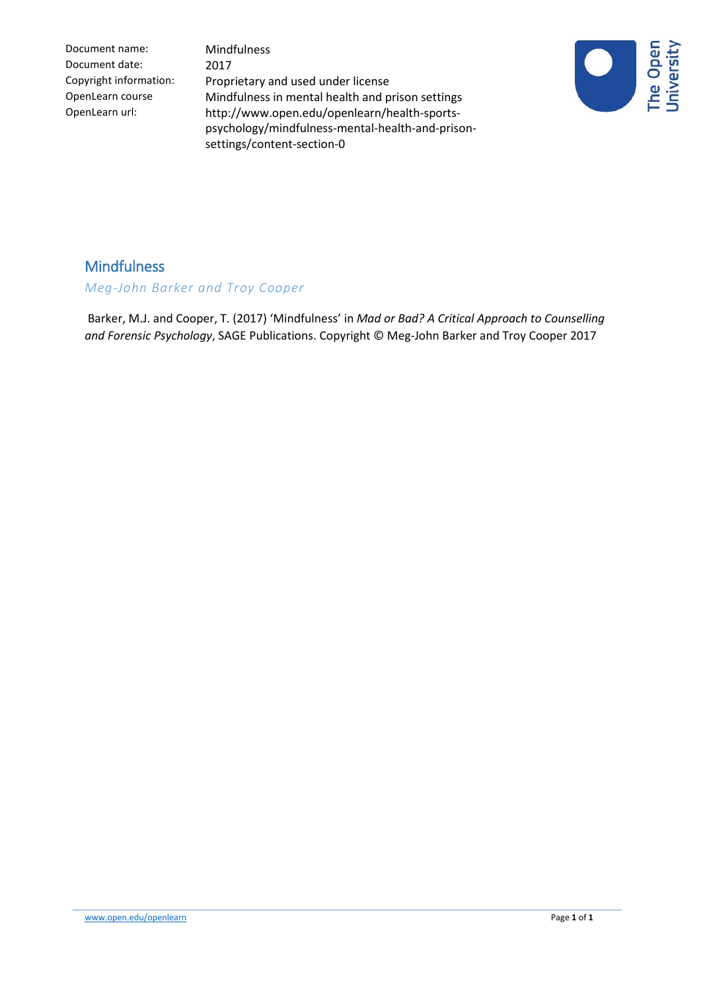Document name: Mindfulness Document date: 2017

Copyright information: Proprietary and used under license OpenLearn course Mindfulness in mental health and prison settings OpenLearn url: http://www.open.edu/openlearn/health-sportspsychology/mindfulness-mental-health-and-prisonsettings/content-section-0



### **Mindfulness**

*Meg-John Barker and Troy Cooper*

Barker, M.J. and Cooper, T. (2017) 'Mindfulness' in *Mad or Bad? A Critical Approach to Counselling and Forensic Psychology*, SAGE Publications. Copyright © Meg-John Barker and Troy Cooper 2017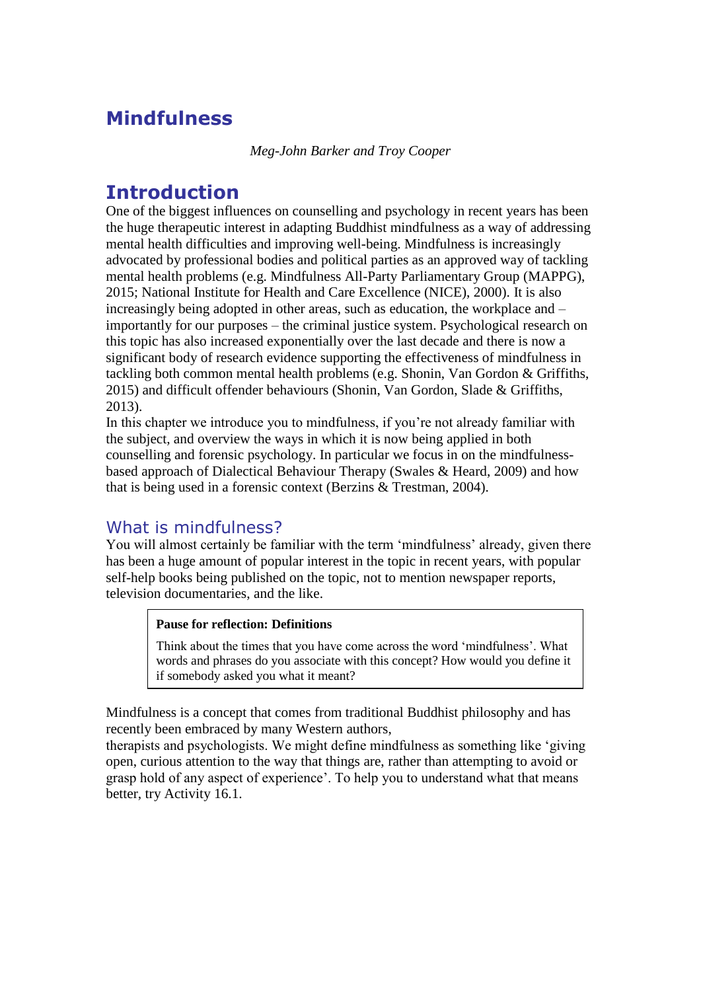# **Mindfulness**

*Meg-John Barker and Troy Cooper*

# **Introduction**

One of the biggest influences on counselling and psychology in recent years has been the huge therapeutic interest in adapting Buddhist mindfulness as a way of addressing mental health difficulties and improving well-being. Mindfulness is increasingly advocated by professional bodies and political parties as an approved way of tackling mental health problems (e.g. Mindfulness All-Party Parliamentary Group (MAPPG), 2015; National Institute for Health and Care Excellence (NICE), 2000). It is also increasingly being adopted in other areas, such as education, the workplace and – importantly for our purposes – the criminal justice system. Psychological research on this topic has also increased exponentially over the last decade and there is now a significant body of research evidence supporting the effectiveness of mindfulness in tackling both common mental health problems (e.g. Shonin, Van Gordon & Griffiths, 2015) and difficult offender behaviours (Shonin, Van Gordon, Slade & Griffiths, 2013).

In this chapter we introduce you to mindfulness, if you're not already familiar with the subject, and overview the ways in which it is now being applied in both counselling and forensic psychology. In particular we focus in on the mindfulnessbased approach of Dialectical Behaviour Therapy (Swales & Heard, 2009) and how that is being used in a forensic context (Berzins & Trestman, 2004).

## What is mindfulness?

You will almost certainly be familiar with the term 'mindfulness' already, given there has been a huge amount of popular interest in the topic in recent years, with popular self-help books being published on the topic, not to mention newspaper reports, television documentaries, and the like.

#### **Pause for reflection: Definitions**

Think about the times that you have come across the word 'mindfulness'. What words and phrases do you associate with this concept? How would you define it if somebody asked you what it meant?

Mindfulness is a concept that comes from traditional Buddhist philosophy and has recently been embraced by many Western authors,

therapists and psychologists. We might define mindfulness as something like 'giving open, curious attention to the way that things are, rather than attempting to avoid or grasp hold of any aspect of experience'. To help you to understand what that means better, try Activity 16.1.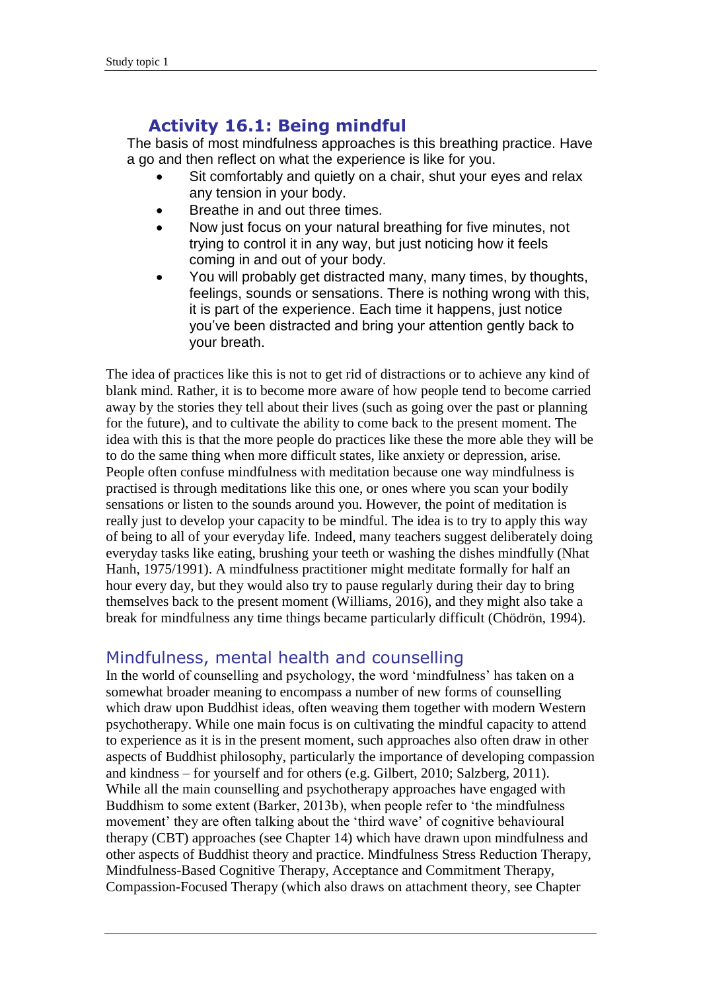## **Activity 16.1: Being mindful**

The basis of most mindfulness approaches is this breathing practice. Have a go and then reflect on what the experience is like for you.

- Sit comfortably and quietly on a chair, shut your eyes and relax any tension in your body.
- Breathe in and out three times.
- Now just focus on your natural breathing for five minutes, not trying to control it in any way, but just noticing how it feels coming in and out of your body.
- You will probably get distracted many, many times, by thoughts, feelings, sounds or sensations. There is nothing wrong with this, it is part of the experience. Each time it happens, just notice you've been distracted and bring your attention gently back to your breath.

The idea of practices like this is not to get rid of distractions or to achieve any kind of blank mind. Rather, it is to become more aware of how people tend to become carried away by the stories they tell about their lives (such as going over the past or planning for the future), and to cultivate the ability to come back to the present moment. The idea with this is that the more people do practices like these the more able they will be to do the same thing when more difficult states, like anxiety or depression, arise. People often confuse mindfulness with meditation because one way mindfulness is practised is through meditations like this one, or ones where you scan your bodily sensations or listen to the sounds around you. However, the point of meditation is really just to develop your capacity to be mindful. The idea is to try to apply this way of being to all of your everyday life. Indeed, many teachers suggest deliberately doing everyday tasks like eating, brushing your teeth or washing the dishes mindfully (Nhat Hanh, 1975/1991). A mindfulness practitioner might meditate formally for half an hour every day, but they would also try to pause regularly during their day to bring themselves back to the present moment (Williams, 2016), and they might also take a break for mindfulness any time things became particularly difficult (Chödrön, 1994).

### Mindfulness, mental health and counselling

In the world of counselling and psychology, the word 'mindfulness' has taken on a somewhat broader meaning to encompass a number of new forms of counselling which draw upon Buddhist ideas, often weaving them together with modern Western psychotherapy. While one main focus is on cultivating the mindful capacity to attend to experience as it is in the present moment, such approaches also often draw in other aspects of Buddhist philosophy, particularly the importance of developing compassion and kindness – for yourself and for others (e.g. Gilbert, 2010; Salzberg, 2011). While all the main counselling and psychotherapy approaches have engaged with Buddhism to some extent (Barker, 2013b), when people refer to 'the mindfulness movement' they are often talking about the 'third wave' of cognitive behavioural therapy (CBT) approaches (see Chapter 14) which have drawn upon mindfulness and other aspects of Buddhist theory and practice. Mindfulness Stress Reduction Therapy, Mindfulness-Based Cognitive Therapy, Acceptance and Commitment Therapy, Compassion-Focused Therapy (which also draws on attachment theory, see Chapter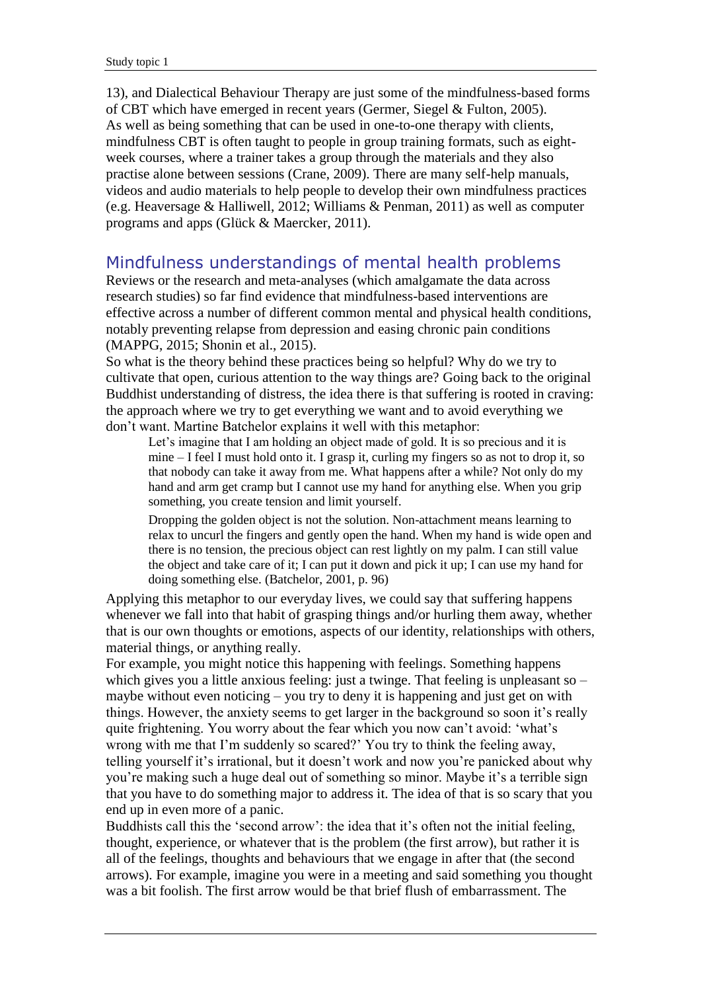13), and Dialectical Behaviour Therapy are just some of the mindfulness-based forms of CBT which have emerged in recent years (Germer, Siegel & Fulton, 2005). As well as being something that can be used in one-to-one therapy with clients, mindfulness CBT is often taught to people in group training formats, such as eightweek courses, where a trainer takes a group through the materials and they also practise alone between sessions (Crane, 2009). There are many self-help manuals, videos and audio materials to help people to develop their own mindfulness practices (e.g. Heaversage & Halliwell, 2012; Williams & Penman, 2011) as well as computer programs and apps (Glück & Maercker, 2011).

### Mindfulness understandings of mental health problems

Reviews or the research and meta-analyses (which amalgamate the data across research studies) so far find evidence that mindfulness-based interventions are effective across a number of different common mental and physical health conditions, notably preventing relapse from depression and easing chronic pain conditions (MAPPG, 2015; Shonin et al., 2015).

So what is the theory behind these practices being so helpful? Why do we try to cultivate that open, curious attention to the way things are? Going back to the original Buddhist understanding of distress, the idea there is that suffering is rooted in craving: the approach where we try to get everything we want and to avoid everything we don't want. Martine Batchelor explains it well with this metaphor:

Let's imagine that I am holding an object made of gold. It is so precious and it is mine – I feel I must hold onto it. I grasp it, curling my fingers so as not to drop it, so that nobody can take it away from me. What happens after a while? Not only do my hand and arm get cramp but I cannot use my hand for anything else. When you grip something, you create tension and limit yourself.

Dropping the golden object is not the solution. Non-attachment means learning to relax to uncurl the fingers and gently open the hand. When my hand is wide open and there is no tension, the precious object can rest lightly on my palm. I can still value the object and take care of it; I can put it down and pick it up; I can use my hand for doing something else. (Batchelor, 2001, p. 96)

Applying this metaphor to our everyday lives, we could say that suffering happens whenever we fall into that habit of grasping things and/or hurling them away, whether that is our own thoughts or emotions, aspects of our identity, relationships with others, material things, or anything really.

For example, you might notice this happening with feelings. Something happens which gives you a little anxious feeling: just a twinge. That feeling is unpleasant so – maybe without even noticing – you try to deny it is happening and just get on with things. However, the anxiety seems to get larger in the background so soon it's really quite frightening. You worry about the fear which you now can't avoid: 'what's wrong with me that I'm suddenly so scared?' You try to think the feeling away, telling yourself it's irrational, but it doesn't work and now you're panicked about why you're making such a huge deal out of something so minor. Maybe it's a terrible sign that you have to do something major to address it. The idea of that is so scary that you end up in even more of a panic.

Buddhists call this the 'second arrow': the idea that it's often not the initial feeling, thought, experience, or whatever that is the problem (the first arrow), but rather it is all of the feelings, thoughts and behaviours that we engage in after that (the second arrows). For example, imagine you were in a meeting and said something you thought was a bit foolish. The first arrow would be that brief flush of embarrassment. The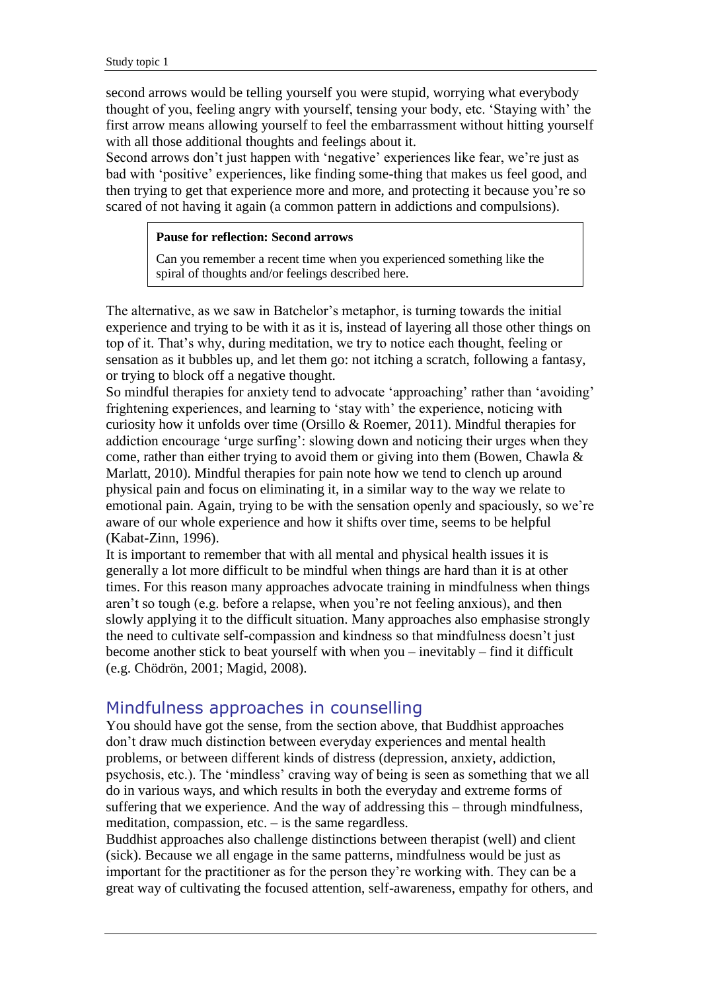second arrows would be telling yourself you were stupid, worrying what everybody thought of you, feeling angry with yourself, tensing your body, etc. 'Staying with' the first arrow means allowing yourself to feel the embarrassment without hitting yourself with all those additional thoughts and feelings about it.

Second arrows don't just happen with 'negative' experiences like fear, we're just as bad with 'positive' experiences, like finding some-thing that makes us feel good, and then trying to get that experience more and more, and protecting it because you're so scared of not having it again (a common pattern in addictions and compulsions).

#### **Pause for reflection: Second arrows**

Can you remember a recent time when you experienced something like the spiral of thoughts and/or feelings described here.

The alternative, as we saw in Batchelor's metaphor, is turning towards the initial experience and trying to be with it as it is, instead of layering all those other things on top of it. That's why, during meditation, we try to notice each thought, feeling or sensation as it bubbles up, and let them go: not itching a scratch, following a fantasy, or trying to block off a negative thought.

So mindful therapies for anxiety tend to advocate 'approaching' rather than 'avoiding' frightening experiences, and learning to 'stay with' the experience, noticing with curiosity how it unfolds over time (Orsillo & Roemer, 2011). Mindful therapies for addiction encourage 'urge surfing': slowing down and noticing their urges when they come, rather than either trying to avoid them or giving into them (Bowen, Chawla  $\&$ Marlatt, 2010). Mindful therapies for pain note how we tend to clench up around physical pain and focus on eliminating it, in a similar way to the way we relate to emotional pain. Again, trying to be with the sensation openly and spaciously, so we're aware of our whole experience and how it shifts over time, seems to be helpful (Kabat-Zinn, 1996).

It is important to remember that with all mental and physical health issues it is generally a lot more difficult to be mindful when things are hard than it is at other times. For this reason many approaches advocate training in mindfulness when things aren't so tough (e.g. before a relapse, when you're not feeling anxious), and then slowly applying it to the difficult situation. Many approaches also emphasise strongly the need to cultivate self-compassion and kindness so that mindfulness doesn't just become another stick to beat yourself with when you – inevitably – find it difficult (e.g. Chödrön, 2001; Magid, 2008).

#### Mindfulness approaches in counselling

You should have got the sense, from the section above, that Buddhist approaches don't draw much distinction between everyday experiences and mental health problems, or between different kinds of distress (depression, anxiety, addiction, psychosis, etc.). The 'mindless' craving way of being is seen as something that we all do in various ways, and which results in both the everyday and extreme forms of suffering that we experience. And the way of addressing this – through mindfulness, meditation, compassion, etc. – is the same regardless.

Buddhist approaches also challenge distinctions between therapist (well) and client (sick). Because we all engage in the same patterns, mindfulness would be just as important for the practitioner as for the person they're working with. They can be a great way of cultivating the focused attention, self-awareness, empathy for others, and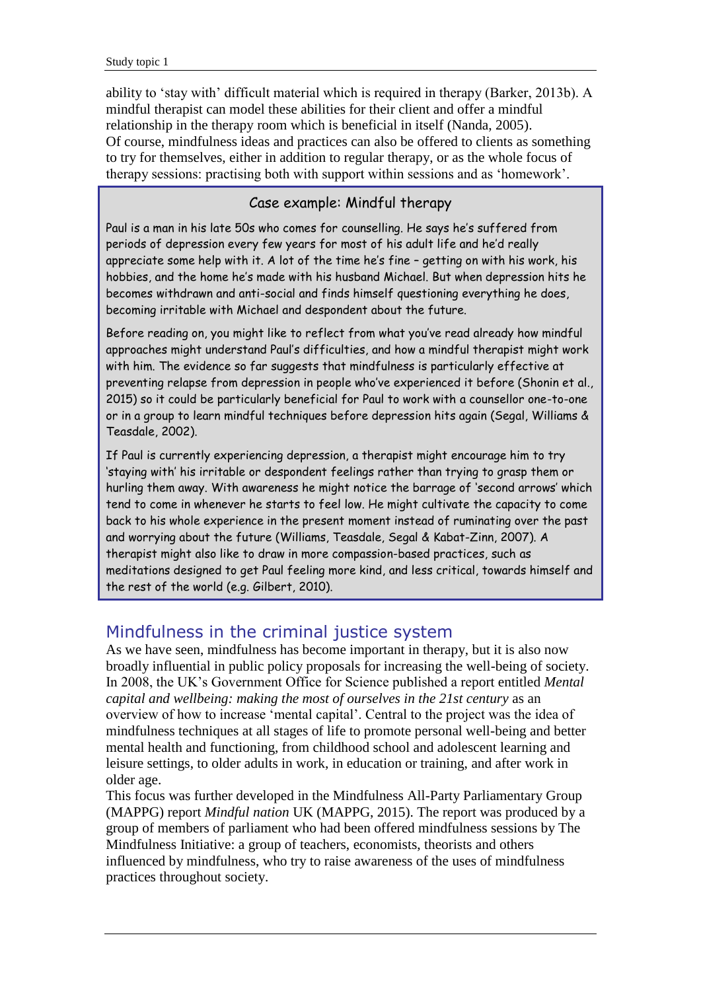ability to 'stay with' difficult material which is required in therapy (Barker, 2013b). A mindful therapist can model these abilities for their client and offer a mindful relationship in the therapy room which is beneficial in itself (Nanda, 2005). Of course, mindfulness ideas and practices can also be offered to clients as something to try for themselves, either in addition to regular therapy, or as the whole focus of therapy sessions: practising both with support within sessions and as 'homework'.

#### Case example: Mindful therapy

Paul is a man in his late 50s who comes for counselling. He says he's suffered from periods of depression every few years for most of his adult life and he'd really appreciate some help with it. A lot of the time he's fine – getting on with his work, his hobbies, and the home he's made with his husband Michael. But when depression hits he becomes withdrawn and anti-social and finds himself questioning everything he does, becoming irritable with Michael and despondent about the future.

Before reading on, you might like to reflect from what you've read already how mindful approaches might understand Paul's difficulties, and how a mindful therapist might work with him. The evidence so far suggests that mindfulness is particularly effective at preventing relapse from depression in people who've experienced it before (Shonin et al., 2015) so it could be particularly beneficial for Paul to work with a counsellor one-to-one or in a group to learn mindful techniques before depression hits again (Segal, Williams & Teasdale, 2002).

If Paul is currently experiencing depression, a therapist might encourage him to try 'staying with' his irritable or despondent feelings rather than trying to grasp them or hurling them away. With awareness he might notice the barrage of 'second arrows' which tend to come in whenever he starts to feel low. He might cultivate the capacity to come back to his whole experience in the present moment instead of ruminating over the past and worrying about the future (Williams, Teasdale, Segal & Kabat-Zinn, 2007). A therapist might also like to draw in more compassion-based practices, such as meditations designed to get Paul feeling more kind, and less critical, towards himself and the rest of the world (e.g. Gilbert, 2010).

### Mindfulness in the criminal justice system

As we have seen, mindfulness has become important in therapy, but it is also now broadly influential in public policy proposals for increasing the well-being of society. In 2008, the UK's Government Office for Science published a report entitled *Mental capital and wellbeing: making the most of ourselves in the 21st century* as an overview of how to increase 'mental capital'. Central to the project was the idea of mindfulness techniques at all stages of life to promote personal well-being and better mental health and functioning, from childhood school and adolescent learning and leisure settings, to older adults in work, in education or training, and after work in older age.

This focus was further developed in the Mindfulness All-Party Parliamentary Group (MAPPG) report *Mindful nation* UK (MAPPG, 2015). The report was produced by a group of members of parliament who had been offered mindfulness sessions by The Mindfulness Initiative: a group of teachers, economists, theorists and others influenced by mindfulness, who try to raise awareness of the uses of mindfulness practices throughout society.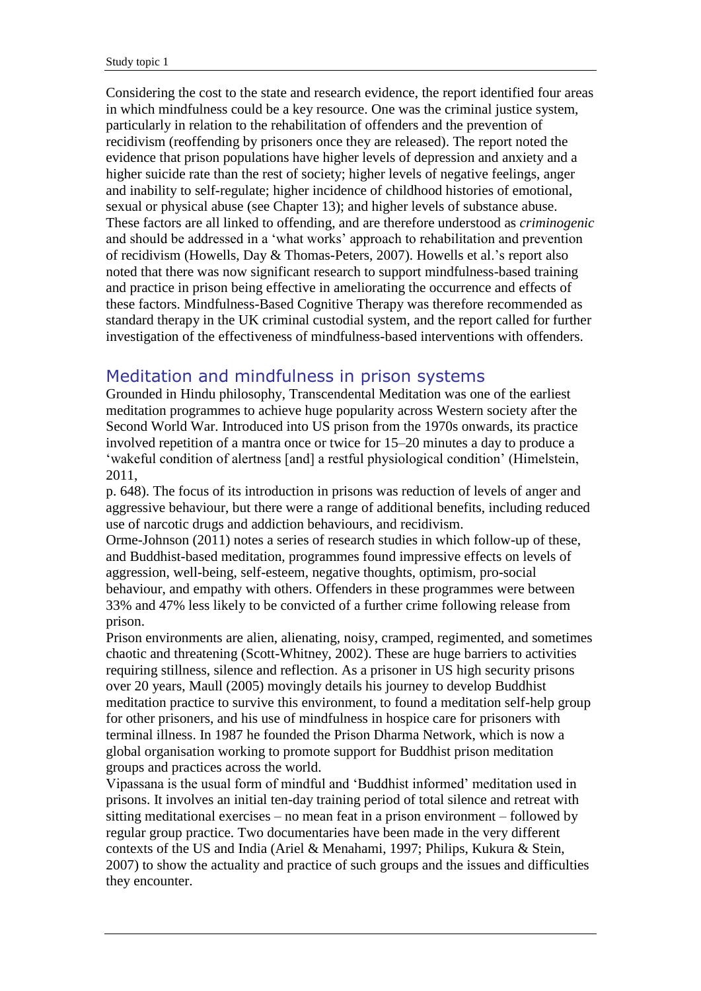Considering the cost to the state and research evidence, the report identified four areas in which mindfulness could be a key resource. One was the criminal justice system, particularly in relation to the rehabilitation of offenders and the prevention of recidivism (reoffending by prisoners once they are released). The report noted the evidence that prison populations have higher levels of depression and anxiety and a higher suicide rate than the rest of society; higher levels of negative feelings, anger and inability to self-regulate; higher incidence of childhood histories of emotional, sexual or physical abuse (see Chapter 13); and higher levels of substance abuse. These factors are all linked to offending, and are therefore understood as *criminogenic* and should be addressed in a 'what works' approach to rehabilitation and prevention of recidivism (Howells, Day & Thomas-Peters, 2007). Howells et al.'s report also noted that there was now significant research to support mindfulness-based training and practice in prison being effective in ameliorating the occurrence and effects of these factors. Mindfulness-Based Cognitive Therapy was therefore recommended as standard therapy in the UK criminal custodial system, and the report called for further investigation of the effectiveness of mindfulness-based interventions with offenders.

## Meditation and mindfulness in prison systems

Grounded in Hindu philosophy, Transcendental Meditation was one of the earliest meditation programmes to achieve huge popularity across Western society after the Second World War. Introduced into US prison from the 1970s onwards, its practice involved repetition of a mantra once or twice for 15–20 minutes a day to produce a 'wakeful condition of alertness [and] a restful physiological condition' (Himelstein, 2011,

p. 648). The focus of its introduction in prisons was reduction of levels of anger and aggressive behaviour, but there were a range of additional benefits, including reduced use of narcotic drugs and addiction behaviours, and recidivism.

Orme-Johnson (2011) notes a series of research studies in which follow-up of these, and Buddhist-based meditation, programmes found impressive effects on levels of aggression, well-being, self-esteem, negative thoughts, optimism, pro-social behaviour, and empathy with others. Offenders in these programmes were between 33% and 47% less likely to be convicted of a further crime following release from prison.

Prison environments are alien, alienating, noisy, cramped, regimented, and sometimes chaotic and threatening (Scott-Whitney, 2002). These are huge barriers to activities requiring stillness, silence and reflection. As a prisoner in US high security prisons over 20 years, Maull (2005) movingly details his journey to develop Buddhist meditation practice to survive this environment, to found a meditation self-help group for other prisoners, and his use of mindfulness in hospice care for prisoners with terminal illness. In 1987 he founded the Prison Dharma Network, which is now a global organisation working to promote support for Buddhist prison meditation groups and practices across the world.

Vipassana is the usual form of mindful and 'Buddhist informed' meditation used in prisons. It involves an initial ten-day training period of total silence and retreat with sitting meditational exercises – no mean feat in a prison environment – followed by regular group practice. Two documentaries have been made in the very different contexts of the US and India (Ariel & Menahami, 1997; Philips, Kukura & Stein, 2007) to show the actuality and practice of such groups and the issues and difficulties they encounter.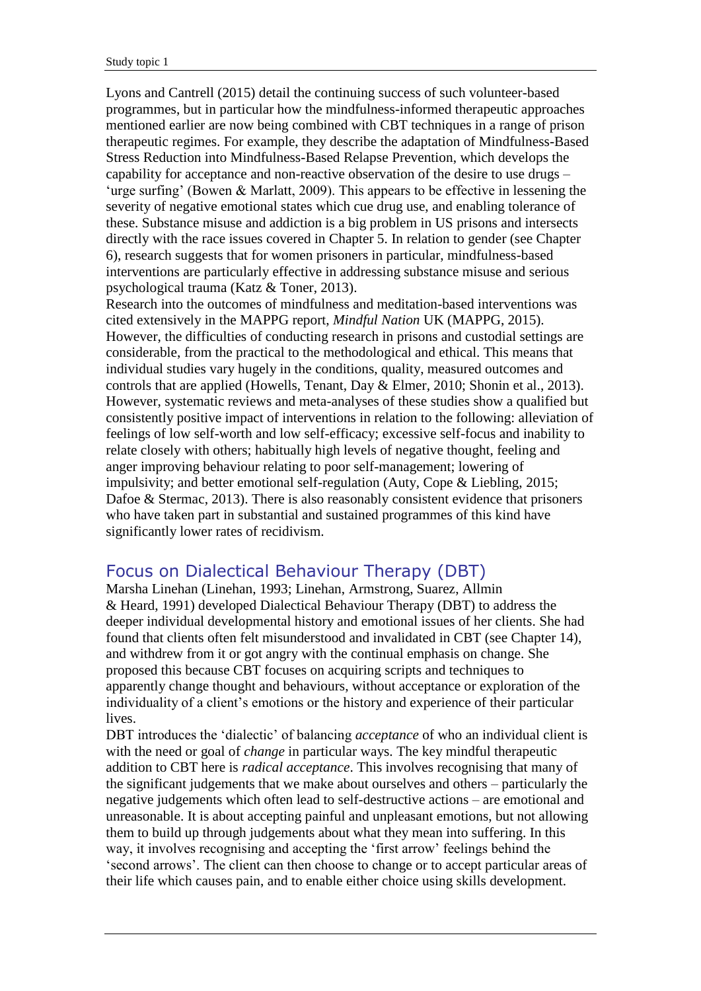Lyons and Cantrell (2015) detail the continuing success of such volunteer-based programmes, but in particular how the mindfulness-informed therapeutic approaches mentioned earlier are now being combined with CBT techniques in a range of prison therapeutic regimes. For example, they describe the adaptation of Mindfulness-Based Stress Reduction into Mindfulness-Based Relapse Prevention, which develops the capability for acceptance and non-reactive observation of the desire to use drugs – 'urge surfing' (Bowen & Marlatt, 2009). This appears to be effective in lessening the severity of negative emotional states which cue drug use, and enabling tolerance of these. Substance misuse and addiction is a big problem in US prisons and intersects directly with the race issues covered in Chapter 5. In relation to gender (see Chapter 6), research suggests that for women prisoners in particular, mindfulness-based interventions are particularly effective in addressing substance misuse and serious psychological trauma (Katz & Toner, 2013).

Research into the outcomes of mindfulness and meditation-based interventions was cited extensively in the MAPPG report, *Mindful Nation* UK (MAPPG, 2015). However, the difficulties of conducting research in prisons and custodial settings are considerable, from the practical to the methodological and ethical. This means that individual studies vary hugely in the conditions, quality, measured outcomes and controls that are applied (Howells, Tenant, Day & Elmer, 2010; Shonin et al., 2013). However, systematic reviews and meta-analyses of these studies show a qualified but consistently positive impact of interventions in relation to the following: alleviation of feelings of low self-worth and low self-efficacy; excessive self-focus and inability to relate closely with others; habitually high levels of negative thought, feeling and anger improving behaviour relating to poor self-management; lowering of impulsivity; and better emotional self-regulation (Auty, Cope & Liebling, 2015; Dafoe & Stermac, 2013). There is also reasonably consistent evidence that prisoners who have taken part in substantial and sustained programmes of this kind have significantly lower rates of recidivism.

### Focus on Dialectical Behaviour Therapy (DBT)

Marsha Linehan (Linehan, 1993; Linehan, Armstrong, Suarez, Allmin & Heard, 1991) developed Dialectical Behaviour Therapy (DBT) to address the deeper individual developmental history and emotional issues of her clients. She had found that clients often felt misunderstood and invalidated in CBT (see Chapter 14), and withdrew from it or got angry with the continual emphasis on change. She proposed this because CBT focuses on acquiring scripts and techniques to apparently change thought and behaviours, without acceptance or exploration of the individuality of a client's emotions or the history and experience of their particular lives.

DBT introduces the 'dialectic' of balancing *acceptance* of who an individual client is with the need or goal of *change* in particular ways. The key mindful therapeutic addition to CBT here is *radical acceptance*. This involves recognising that many of the significant judgements that we make about ourselves and others – particularly the negative judgements which often lead to self-destructive actions – are emotional and unreasonable. It is about accepting painful and unpleasant emotions, but not allowing them to build up through judgements about what they mean into suffering. In this way, it involves recognising and accepting the 'first arrow' feelings behind the 'second arrows'. The client can then choose to change or to accept particular areas of their life which causes pain, and to enable either choice using skills development.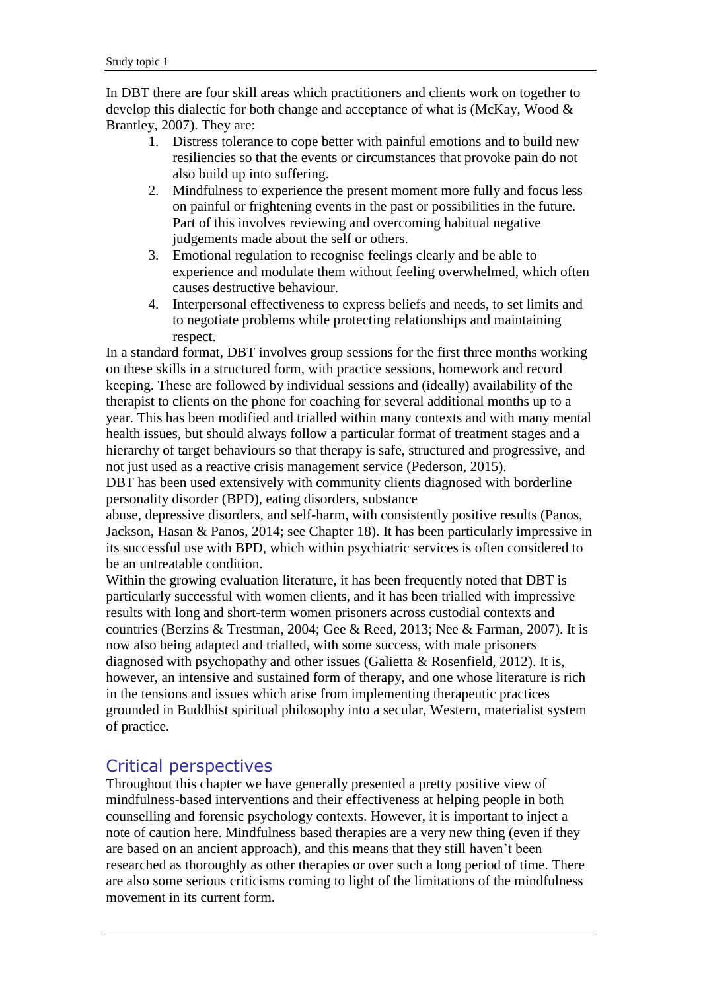In DBT there are four skill areas which practitioners and clients work on together to develop this dialectic for both change and acceptance of what is (McKay, Wood & Brantley, 2007). They are:

- 1. Distress tolerance to cope better with painful emotions and to build new resiliencies so that the events or circumstances that provoke pain do not also build up into suffering.
- 2. Mindfulness to experience the present moment more fully and focus less on painful or frightening events in the past or possibilities in the future. Part of this involves reviewing and overcoming habitual negative judgements made about the self or others.
- 3. Emotional regulation to recognise feelings clearly and be able to experience and modulate them without feeling overwhelmed, which often causes destructive behaviour.
- 4. Interpersonal effectiveness to express beliefs and needs, to set limits and to negotiate problems while protecting relationships and maintaining respect.

In a standard format, DBT involves group sessions for the first three months working on these skills in a structured form, with practice sessions, homework and record keeping. These are followed by individual sessions and (ideally) availability of the therapist to clients on the phone for coaching for several additional months up to a year. This has been modified and trialled within many contexts and with many mental health issues, but should always follow a particular format of treatment stages and a hierarchy of target behaviours so that therapy is safe, structured and progressive, and not just used as a reactive crisis management service (Pederson, 2015).

DBT has been used extensively with community clients diagnosed with borderline personality disorder (BPD), eating disorders, substance

abuse, depressive disorders, and self-harm, with consistently positive results (Panos, Jackson, Hasan & Panos, 2014; see Chapter 18). It has been particularly impressive in its successful use with BPD, which within psychiatric services is often considered to be an untreatable condition.

Within the growing evaluation literature, it has been frequently noted that DBT is particularly successful with women clients, and it has been trialled with impressive results with long and short-term women prisoners across custodial contexts and countries (Berzins & Trestman, 2004; Gee & Reed, 2013; Nee & Farman, 2007). It is now also being adapted and trialled, with some success, with male prisoners diagnosed with psychopathy and other issues (Galietta & Rosenfield, 2012). It is, however, an intensive and sustained form of therapy, and one whose literature is rich in the tensions and issues which arise from implementing therapeutic practices grounded in Buddhist spiritual philosophy into a secular, Western, materialist system of practice.

#### Critical perspectives

Throughout this chapter we have generally presented a pretty positive view of mindfulness-based interventions and their effectiveness at helping people in both counselling and forensic psychology contexts. However, it is important to inject a note of caution here. Mindfulness based therapies are a very new thing (even if they are based on an ancient approach), and this means that they still haven't been researched as thoroughly as other therapies or over such a long period of time. There are also some serious criticisms coming to light of the limitations of the mindfulness movement in its current form.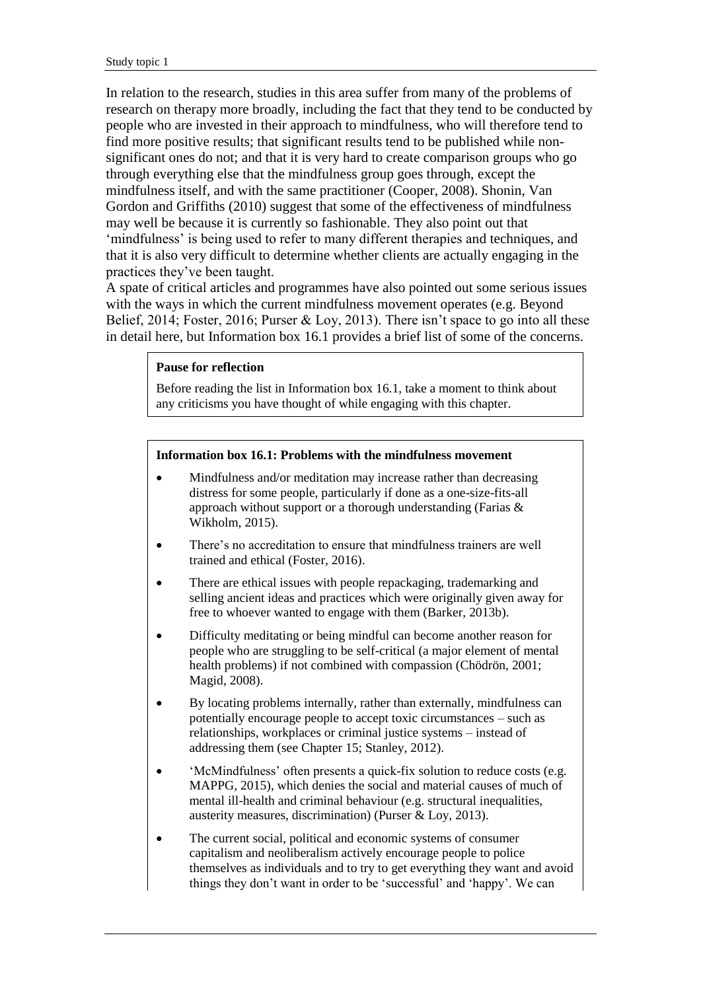In relation to the research, studies in this area suffer from many of the problems of research on therapy more broadly, including the fact that they tend to be conducted by people who are invested in their approach to mindfulness, who will therefore tend to find more positive results; that significant results tend to be published while nonsignificant ones do not; and that it is very hard to create comparison groups who go through everything else that the mindfulness group goes through, except the mindfulness itself, and with the same practitioner (Cooper, 2008). Shonin, Van Gordon and Griffiths (2010) suggest that some of the effectiveness of mindfulness may well be because it is currently so fashionable. They also point out that 'mindfulness' is being used to refer to many different therapies and techniques, and that it is also very difficult to determine whether clients are actually engaging in the practices they've been taught.

A spate of critical articles and programmes have also pointed out some serious issues with the ways in which the current mindfulness movement operates (e.g. Beyond Belief, 2014; Foster, 2016; Purser & Loy, 2013). There isn't space to go into all these in detail here, but Information box 16.1 provides a brief list of some of the concerns.

#### **Pause for reflection**

Before reading the list in Information box 16.1, take a moment to think about any criticisms you have thought of while engaging with this chapter.

#### **Information box 16.1: Problems with the mindfulness movement**

- Mindfulness and/or meditation may increase rather than decreasing distress for some people, particularly if done as a one-size-fits-all approach without support or a thorough understanding (Farias & Wikholm, 2015).
- There's no accreditation to ensure that mindfulness trainers are well trained and ethical (Foster, 2016).
- There are ethical issues with people repackaging, trademarking and selling ancient ideas and practices which were originally given away for free to whoever wanted to engage with them (Barker, 2013b).
- Difficulty meditating or being mindful can become another reason for people who are struggling to be self-critical (a major element of mental health problems) if not combined with compassion (Chödrön, 2001; Magid, 2008).
- By locating problems internally, rather than externally, mindfulness can potentially encourage people to accept toxic circumstances – such as relationships, workplaces or criminal justice systems – instead of addressing them (see Chapter 15; Stanley, 2012).
- 'McMindfulness' often presents a quick-fix solution to reduce costs (e.g. MAPPG, 2015), which denies the social and material causes of much of mental ill-health and criminal behaviour (e.g. structural inequalities, austerity measures, discrimination) (Purser & Loy, 2013).
- The current social, political and economic systems of consumer capitalism and neoliberalism actively encourage people to police themselves as individuals and to try to get everything they want and avoid things they don't want in order to be 'successful' and 'happy'. We can